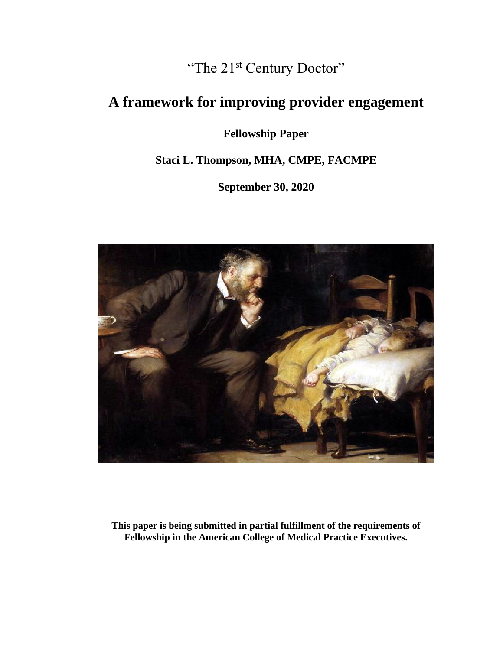"The 21<sup>st</sup> Century Doctor"

# **A framework for improving provider engagement**

**Fellowship Paper**

**Staci L. Thompson, MHA, CMPE, FACMPE**

**September 30, 2020**



**This paper is being submitted in partial fulfillment of the requirements of Fellowship in the American College of Medical Practice Executives.**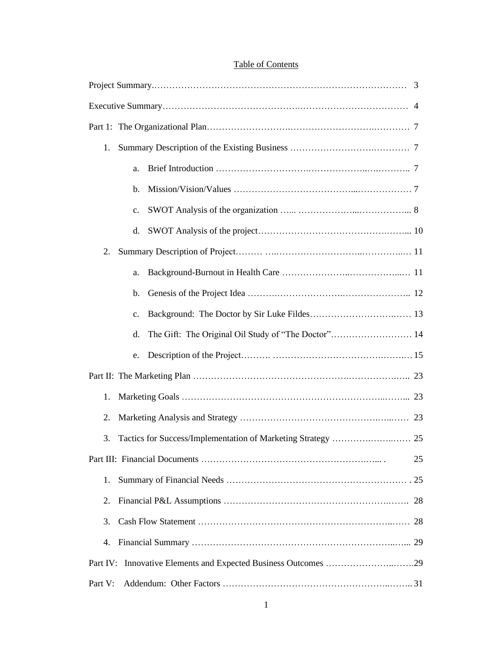# Table of Contents

| 1.       |                |    |  |  |  |  |
|----------|----------------|----|--|--|--|--|
|          | a.             |    |  |  |  |  |
|          | b.             |    |  |  |  |  |
|          | c.             |    |  |  |  |  |
|          | d.             |    |  |  |  |  |
| 2.       |                |    |  |  |  |  |
|          | a.             |    |  |  |  |  |
|          | b.             |    |  |  |  |  |
|          | $\mathbf{c}$ . |    |  |  |  |  |
|          | d.             |    |  |  |  |  |
|          | e.             |    |  |  |  |  |
|          |                |    |  |  |  |  |
| 1.       |                |    |  |  |  |  |
| 2.       |                |    |  |  |  |  |
| 3.       |                |    |  |  |  |  |
|          |                | 25 |  |  |  |  |
| 1.       |                |    |  |  |  |  |
| 2.       |                |    |  |  |  |  |
| 3.       |                |    |  |  |  |  |
| 4.       |                |    |  |  |  |  |
| Part IV: |                |    |  |  |  |  |
| Part V:  |                |    |  |  |  |  |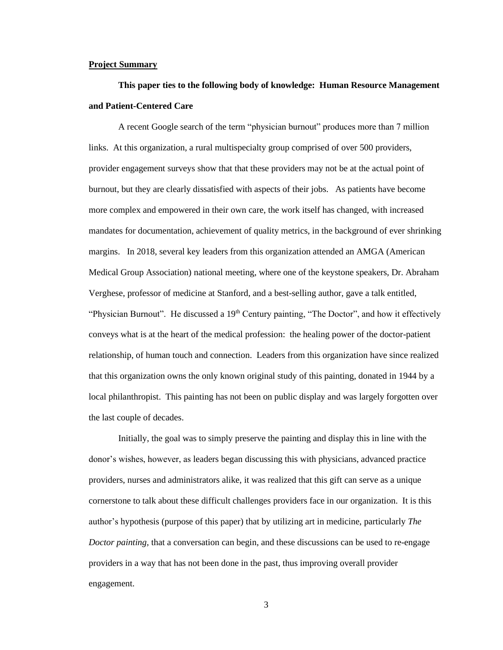#### **Project Summary**

# **This paper ties to the following body of knowledge: Human Resource Management and Patient-Centered Care**

A recent Google search of the term "physician burnout" produces more than 7 million links. At this organization, a rural multispecialty group comprised of over 500 providers, provider engagement surveys show that that these providers may not be at the actual point of burnout, but they are clearly dissatisfied with aspects of their jobs. As patients have become more complex and empowered in their own care, the work itself has changed, with increased mandates for documentation, achievement of quality metrics, in the background of ever shrinking margins. In 2018, several key leaders from this organization attended an AMGA (American Medical Group Association) national meeting, where one of the keystone speakers, Dr. Abraham Verghese, professor of medicine at Stanford, and a best-selling author, gave a talk entitled, "Physician Burnout". He discussed a 19<sup>th</sup> Century painting, "The Doctor", and how it effectively conveys what is at the heart of the medical profession: the healing power of the doctor-patient relationship, of human touch and connection. Leaders from this organization have since realized that this organization owns the only known original study of this painting, donated in 1944 by a local philanthropist. This painting has not been on public display and was largely forgotten over the last couple of decades.

Initially, the goal was to simply preserve the painting and display this in line with the donor's wishes, however, as leaders began discussing this with physicians, advanced practice providers, nurses and administrators alike, it was realized that this gift can serve as a unique cornerstone to talk about these difficult challenges providers face in our organization. It is this author's hypothesis (purpose of this paper) that by utilizing art in medicine, particularly *The Doctor painting,* that a conversation can begin, and these discussions can be used to re-engage providers in a way that has not been done in the past, thus improving overall provider engagement.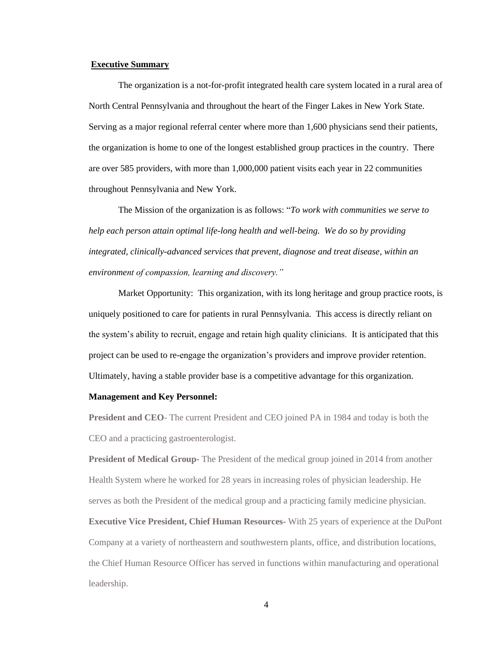#### **Executive Summary**

The organization is a not-for-profit integrated health care system located in a rural area of North Central Pennsylvania and throughout the heart of the Finger Lakes in New York State. Serving as a major regional referral center where more than 1,600 physicians send their patients, the organization is home to one of the longest established group practices in the country. There are over 585 providers, with more than 1,000,000 patient visits each year in 22 communities throughout Pennsylvania and New York.

The Mission of the organization is as follows: "*To work with communities we serve to help each person attain optimal life-long health and well-being. We do so by providing integrated, clinically-advanced services that prevent, diagnose and treat disease, within an environment of compassion, learning and discovery."*

Market Opportunity: This organization, with its long heritage and group practice roots, is uniquely positioned to care for patients in rural Pennsylvania. This access is directly reliant on the system's ability to recruit, engage and retain high quality clinicians. It is anticipated that this project can be used to re-engage the organization's providers and improve provider retention. Ultimately, having a stable provider base is a competitive advantage for this organization.

#### **Management and Key Personnel:**

**President and CEO**- The current President and CEO joined PA in 1984 and today is both the CEO and a practicing gastroenterologist.

**President of Medical Group-** The President of the medical group joined in 2014 from another Health System where he worked for 28 years in increasing roles of physician leadership. He serves as both the President of the medical group and a practicing family medicine physician.

**Executive Vice President, Chief Human Resources-** With 25 years of experience at the DuPont Company at a variety of northeastern and southwestern plants, office, and distribution locations, the Chief Human Resource Officer has served in functions within manufacturing and operational leadership.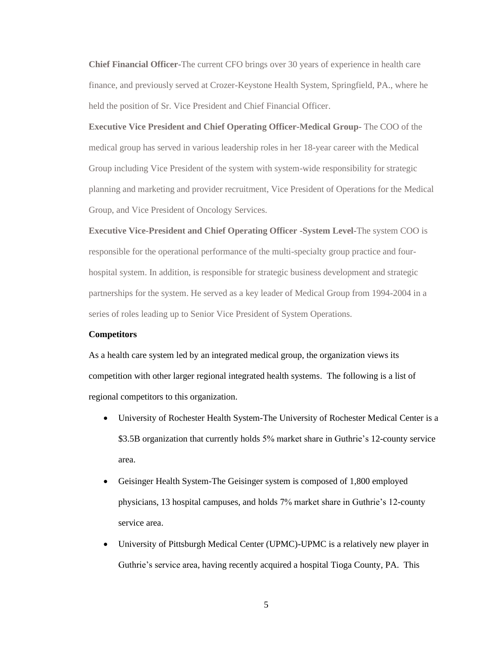**Chief Financial Officer-**The current CFO brings over 30 years of experience in health care finance, and previously served at Crozer-Keystone Health System, Springfield, PA., where he held the position of Sr. Vice President and Chief Financial Officer.

**Executive Vice President and Chief Operating Officer-Medical Group-** The COO of the medical group has served in various leadership roles in her 18-year career with the Medical Group including Vice President of the system with system-wide responsibility for strategic planning and marketing and provider recruitment, Vice President of Operations for the Medical Group, and Vice President of Oncology Services.

**Executive Vice-President and Chief Operating Officer -System Level-**The system COO is responsible for the operational performance of the multi-specialty group practice and fourhospital system. In addition, is responsible for strategic business development and strategic partnerships for the system. He served as a key leader of Medical Group from 1994-2004 in a series of roles leading up to Senior Vice President of System Operations.

#### **Competitors**

As a health care system led by an integrated medical group, the organization views its competition with other larger regional integrated health systems. The following is a list of regional competitors to this organization.

- University of Rochester Health System-The University of Rochester Medical Center is a \$3.5B organization that currently holds 5% market share in Guthrie's 12-county service area.
- Geisinger Health System-The Geisinger system is composed of 1,800 employed physicians, 13 hospital campuses, and holds 7% market share in Guthrie's 12-county service area.
- University of Pittsburgh Medical Center (UPMC)-UPMC is a relatively new player in Guthrie's service area, having recently acquired a hospital Tioga County, PA. This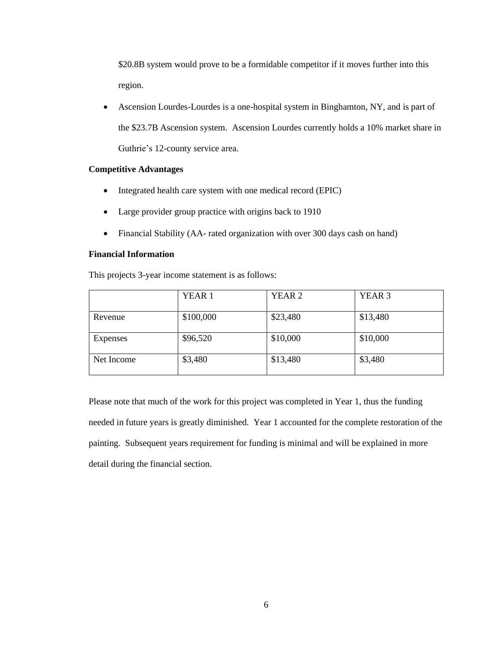\$20.8B system would prove to be a formidable competitor if it moves further into this region.

• Ascension Lourdes-Lourdes is a one-hospital system in Binghamton, NY, and is part of the \$23.7B Ascension system. Ascension Lourdes currently holds a 10% market share in Guthrie's 12-county service area.

#### **Competitive Advantages**

- Integrated health care system with one medical record (EPIC)
- Large provider group practice with origins back to 1910
- Financial Stability (AA- rated organization with over 300 days cash on hand)

#### **Financial Information**

This projects 3-year income statement is as follows:

|            | YEAR 1    | YEAR <sub>2</sub> | YEAR <sub>3</sub> |
|------------|-----------|-------------------|-------------------|
| Revenue    | \$100,000 | \$23,480          | \$13,480          |
| Expenses   | \$96,520  | \$10,000          | \$10,000          |
| Net Income | \$3,480   | \$13,480          | \$3,480           |

Please note that much of the work for this project was completed in Year 1, thus the funding needed in future years is greatly diminished. Year 1 accounted for the complete restoration of the painting. Subsequent years requirement for funding is minimal and will be explained in more detail during the financial section.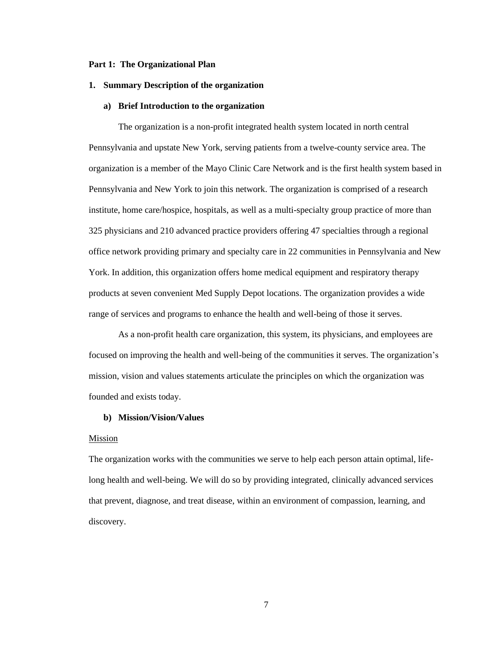#### **Part 1: The Organizational Plan**

#### **1. Summary Description of the organization**

#### **a) Brief Introduction to the organization**

The organization is a non-profit integrated health system located in north central Pennsylvania and upstate New York, serving patients from a twelve-county service area. The organization is a member of the Mayo Clinic Care Network and is the first health system based in Pennsylvania and New York to join this network. The organization is comprised of a research institute, home care/hospice, hospitals, as well as a multi-specialty group practice of more than 325 physicians and 210 advanced practice providers offering 47 specialties through a regional office network providing primary and specialty care in 22 communities in Pennsylvania and New York. In addition, this organization offers home medical equipment and respiratory therapy products at seven convenient Med Supply Depot locations. The organization provides a wide range of services and programs to enhance the health and well-being of those it serves.

As a non-profit health care organization, this system, its physicians, and employees are focused on improving the health and well-being of the communities it serves. The organization's mission, vision and values statements articulate the principles on which the organization was founded and exists today.

#### **b) Mission/Vision/Values**

#### Mission

The organization works with the communities we serve to help each person attain optimal, lifelong health and well-being. We will do so by providing integrated, clinically advanced services that prevent, diagnose, and treat disease, within an environment of compassion, learning, and discovery.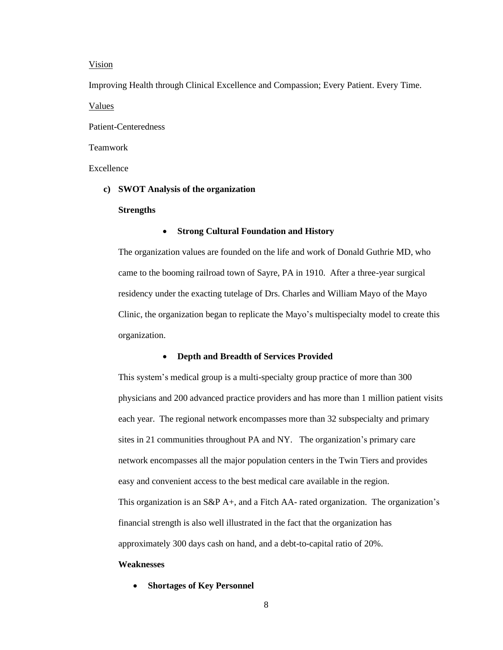#### Vision

Improving Health through Clinical Excellence and Compassion; Every Patient. Every Time. Values

Patient-Centeredness

#### Teamwork

Excellence

#### **c) SWOT Analysis of the organization**

#### **Strengths**

#### • **Strong Cultural Foundation and History**

The organization values are founded on the life and work of Donald Guthrie MD, who came to the booming railroad town of Sayre, PA in 1910. After a three-year surgical residency under the exacting tutelage of Drs. Charles and William Mayo of the Mayo Clinic, the organization began to replicate the Mayo's multispecialty model to create this organization.

#### • **Depth and Breadth of Services Provided**

This system's medical group is a multi-specialty group practice of more than 300 physicians and 200 advanced practice providers and has more than 1 million patient visits each year. The regional network encompasses more than 32 subspecialty and primary sites in 21 communities throughout PA and NY. The organization's primary care network encompasses all the major population centers in the Twin Tiers and provides easy and convenient access to the best medical care available in the region. This organization is an S&P A+, and a Fitch AA- rated organization. The organization's financial strength is also well illustrated in the fact that the organization has approximately 300 days cash on hand, and a debt-to-capital ratio of 20%.

#### **Weaknesses**

• **Shortages of Key Personnel**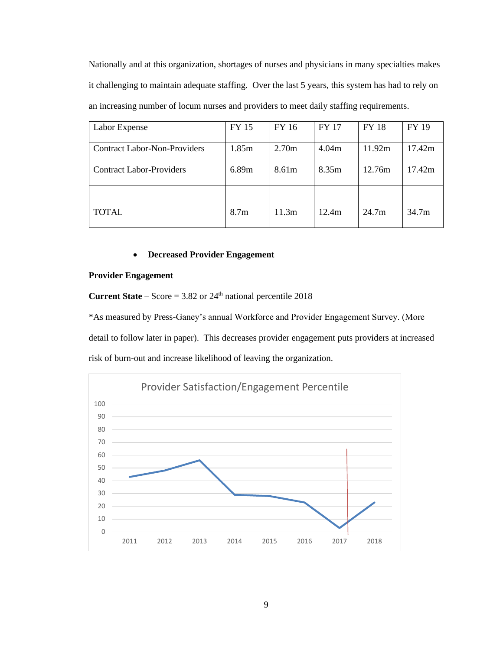Nationally and at this organization, shortages of nurses and physicians in many specialties makes it challenging to maintain adequate staffing. Over the last 5 years, this system has had to rely on an increasing number of locum nurses and providers to meet daily staffing requirements.

| Labor Expense                       | FY 15            | FY 16 | <b>FY 17</b> | <b>FY 18</b>      | <b>FY 19</b>      |
|-------------------------------------|------------------|-------|--------------|-------------------|-------------------|
| <b>Contract Labor-Non-Providers</b> | 1.85m            | 2.70m | 4.04m        | 11.92m            | 17.42m            |
| <b>Contract Labor-Providers</b>     | 6.89m            | 8.61m | 8.35m        | 12.76m            | 17.42m            |
|                                     |                  |       |              |                   |                   |
| <b>TOTAL</b>                        | 8.7 <sub>m</sub> | 11.3m | 12.4m        | 24.7 <sub>m</sub> | 34.7 <sub>m</sub> |

#### • **Decreased Provider Engagement**

#### **Provider Engagement**

**Current State** – Score =  $3.82$  or  $24<sup>th</sup>$  national percentile 2018

\*As measured by Press-Ganey's annual Workforce and Provider Engagement Survey. (More detail to follow later in paper). This decreases provider engagement puts providers at increased risk of burn-out and increase likelihood of leaving the organization.

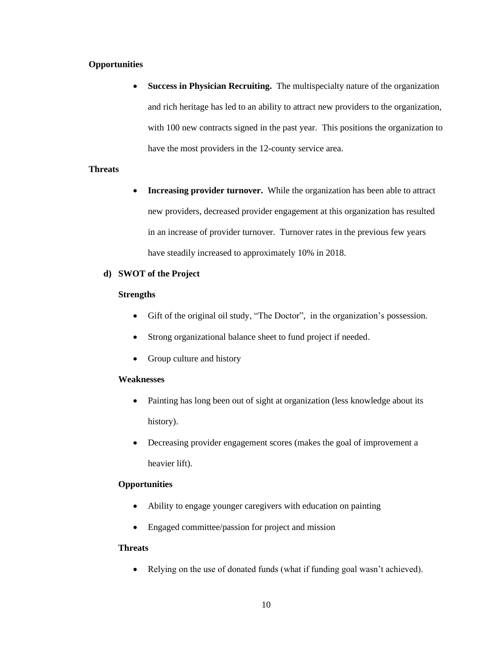#### **Opportunities**

**Success in Physician Recruiting.** The multispecialty nature of the organization and rich heritage has led to an ability to attract new providers to the organization, with 100 new contracts signed in the past year. This positions the organization to have the most providers in the 12-county service area.

#### **Threats**

**Increasing provider turnover.** While the organization has been able to attract new providers, decreased provider engagement at this organization has resulted in an increase of provider turnover. Turnover rates in the previous few years have steadily increased to approximately 10% in 2018.

#### **d) SWOT of the Project**

#### **Strengths**

- Gift of the original oil study, "The Doctor", in the organization's possession.
- Strong organizational balance sheet to fund project if needed.
- Group culture and history

#### **Weaknesses**

- Painting has long been out of sight at organization (less knowledge about its history).
- Decreasing provider engagement scores (makes the goal of improvement a heavier lift).

### **Opportunities**

- Ability to engage younger caregivers with education on painting
- Engaged committee/passion for project and mission

#### **Threats**

• Relying on the use of donated funds (what if funding goal wasn't achieved).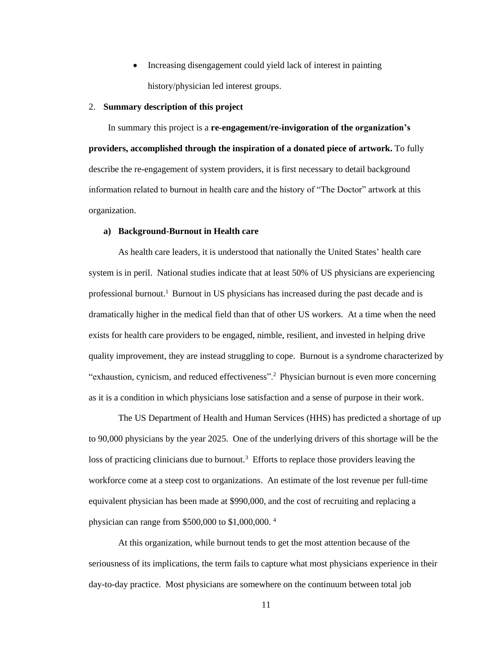• Increasing disengagement could yield lack of interest in painting history/physician led interest groups.

#### 2. **Summary description of this project**

 In summary this project is a **re-engagement/re-invigoration of the organization's providers, accomplished through the inspiration of a donated piece of artwork.** To fully describe the re-engagement of system providers, it is first necessary to detail background information related to burnout in health care and the history of "The Doctor" artwork at this organization.

#### **a) Background-Burnout in Health care**

As health care leaders, it is understood that nationally the United States' health care system is in peril. National studies indicate that at least 50% of US physicians are experiencing professional burnout.<sup>1</sup> Burnout in US physicians has increased during the past decade and is dramatically higher in the medical field than that of other US workers. At a time when the need exists for health care providers to be engaged, nimble, resilient, and invested in helping drive quality improvement, they are instead struggling to cope. Burnout is a syndrome characterized by "exhaustion, cynicism, and reduced effectiveness".<sup>2</sup> Physician burnout is even more concerning as it is a condition in which physicians lose satisfaction and a sense of purpose in their work.

The US Department of Health and Human Services (HHS) has predicted a shortage of up to 90,000 physicians by the year 2025. One of the underlying drivers of this shortage will be the loss of practicing clinicians due to burnout.<sup>3</sup> Efforts to replace those providers leaving the workforce come at a steep cost to organizations. An estimate of the lost revenue per full-time equivalent physician has been made at \$990,000, and the cost of recruiting and replacing a physician can range from \$500,000 to \$1,000,000. <sup>4</sup>

At this organization, while burnout tends to get the most attention because of the seriousness of its implications, the term fails to capture what most physicians experience in their day-to-day practice. Most physicians are somewhere on the continuum between total job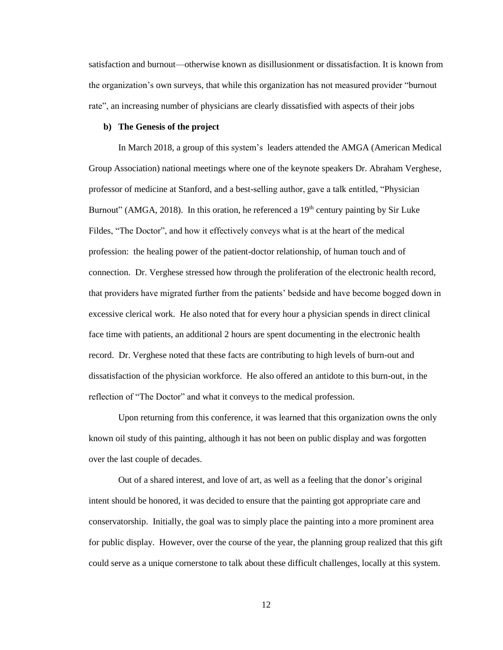satisfaction and burnout—otherwise known as disillusionment or dissatisfaction. It is known from the organization's own surveys, that while this organization has not measured provider "burnout rate", an increasing number of physicians are clearly dissatisfied with aspects of their jobs

#### **b) The Genesis of the project**

In March 2018, a group of this system's leaders attended the AMGA (American Medical Group Association) national meetings where one of the keynote speakers Dr. Abraham Verghese, professor of medicine at Stanford, and a best-selling author, gave a talk entitled, "Physician Burnout" (AMGA, 2018). In this oration, he referenced a  $19<sup>th</sup>$  century painting by Sir Luke Fildes, "The Doctor", and how it effectively conveys what is at the heart of the medical profession: the healing power of the patient-doctor relationship, of human touch and of connection. Dr. Verghese stressed how through the proliferation of the electronic health record, that providers have migrated further from the patients' bedside and have become bogged down in excessive clerical work. He also noted that for every hour a physician spends in direct clinical face time with patients, an additional 2 hours are spent documenting in the electronic health record. Dr. Verghese noted that these facts are contributing to high levels of burn-out and dissatisfaction of the physician workforce. He also offered an antidote to this burn-out, in the reflection of "The Doctor" and what it conveys to the medical profession.

Upon returning from this conference, it was learned that this organization owns the only known oil study of this painting, although it has not been on public display and was forgotten over the last couple of decades.

Out of a shared interest, and love of art, as well as a feeling that the donor's original intent should be honored, it was decided to ensure that the painting got appropriate care and conservatorship. Initially, the goal was to simply place the painting into a more prominent area for public display. However, over the course of the year, the planning group realized that this gift could serve as a unique cornerstone to talk about these difficult challenges, locally at this system.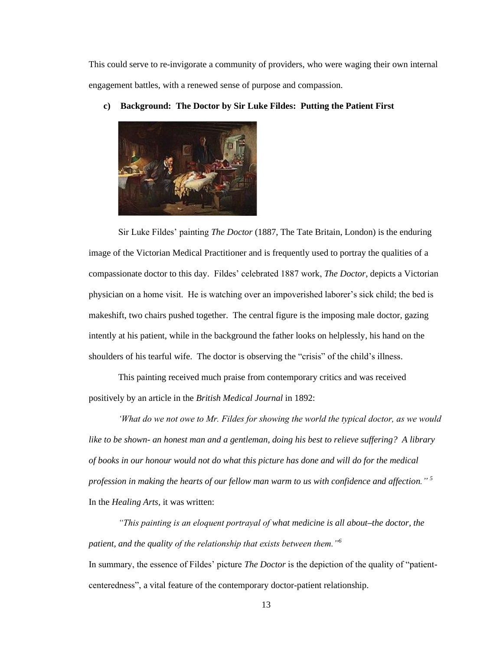This could serve to re-invigorate a community of providers, who were waging their own internal engagement battles, with a renewed sense of purpose and compassion.



**c) Background: The Doctor by Sir Luke Fildes: Putting the Patient First**

Sir Luke Fildes' painting *The Doctor* (1887, The Tate Britain, London) is the enduring image of the Victorian Medical Practitioner and is frequently used to portray the qualities of a compassionate doctor to this day. Fildes' celebrated 1887 work, *The Doctor*, depicts a Victorian physician on a home visit. He is watching over an impoverished laborer's sick child; the bed is makeshift, two chairs pushed together. The central figure is the imposing male doctor, gazing intently at his patient, while in the background the father looks on helplessly, his hand on the shoulders of his tearful wife. The doctor is observing the "crisis" of the child's illness.

This painting received much praise from contemporary critics and was received positively by an article in the *British Medical Journal* in 1892:

*'What do we not owe to Mr. Fildes for showing the world the typical doctor, as we would like to be shown- an honest man and a gentleman, doing his best to relieve suffering? A library of books in our honour would not do what this picture has done and will do for the medical profession in making the hearts of our fellow man warm to us with confidence and affection." <sup>5</sup>* In the *Healing Arts,* it was written:

*"This painting is an eloquent portrayal of what medicine is all about***–***the doctor, the patient, and the quality of the relationship that exists between them."<sup>6</sup>* In summary, the essence of Fildes' picture *The Doctor* is the depiction of the quality of "patient-

centeredness", a vital feature of the contemporary doctor-patient relationship.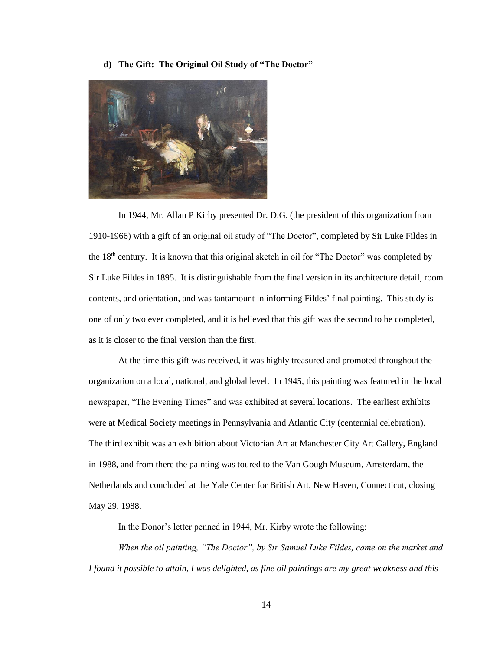**d) The Gift: The Original Oil Study of "The Doctor"**



In 1944, Mr. Allan P Kirby presented Dr. D.G. (the president of this organization from 1910-1966) with a gift of an original oil study of "The Doctor", completed by Sir Luke Fildes in the 18<sup>th</sup> century. It is known that this original sketch in oil for "The Doctor" was completed by Sir Luke Fildes in 1895. It is distinguishable from the final version in its architecture detail, room contents, and orientation, and was tantamount in informing Fildes' final painting. This study is one of only two ever completed, and it is believed that this gift was the second to be completed, as it is closer to the final version than the first.

At the time this gift was received, it was highly treasured and promoted throughout the organization on a local, national, and global level. In 1945, this painting was featured in the local newspaper, "The Evening Times" and was exhibited at several locations. The earliest exhibits were at Medical Society meetings in Pennsylvania and Atlantic City (centennial celebration). The third exhibit was an exhibition about Victorian Art at Manchester City Art Gallery, England in 1988, and from there the painting was toured to the Van Gough Museum, Amsterdam, the Netherlands and concluded at the Yale Center for British Art, New Haven, Connecticut, closing May 29, 1988.

In the Donor's letter penned in 1944, Mr. Kirby wrote the following:

*When the oil painting, "The Doctor", by Sir Samuel Luke Fildes, came on the market and I found it possible to attain, I was delighted, as fine oil paintings are my great weakness and this*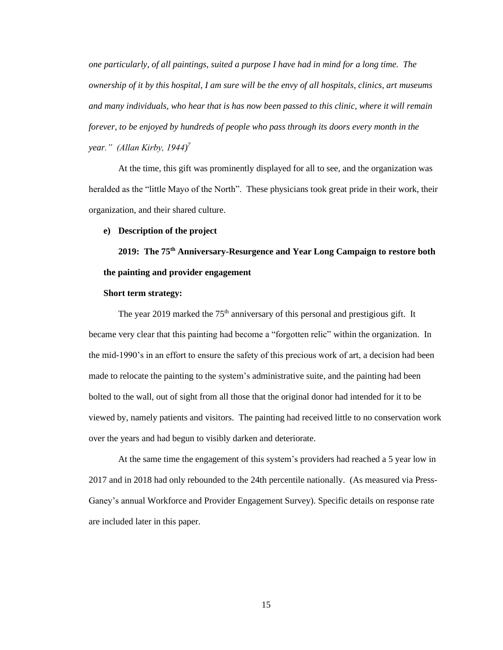*one particularly, of all paintings, suited a purpose I have had in mind for a long time. The ownership of it by this hospital, I am sure will be the envy of all hospitals, clinics, art museums and many individuals, who hear that is has now been passed to this clinic, where it will remain forever, to be enjoyed by hundreds of people who pass through its doors every month in the year." (Allan Kirby, 1944) 7*

At the time, this gift was prominently displayed for all to see, and the organization was heralded as the "little Mayo of the North". These physicians took great pride in their work, their organization, and their shared culture.

#### **e) Description of the project**

**2019: The 75th Anniversary-Resurgence and Year Long Campaign to restore both the painting and provider engagement**

#### **Short term strategy:**

The year 2019 marked the 75<sup>th</sup> anniversary of this personal and prestigious gift. It became very clear that this painting had become a "forgotten relic" within the organization. In the mid-1990's in an effort to ensure the safety of this precious work of art, a decision had been made to relocate the painting to the system's administrative suite, and the painting had been bolted to the wall, out of sight from all those that the original donor had intended for it to be viewed by, namely patients and visitors. The painting had received little to no conservation work over the years and had begun to visibly darken and deteriorate.

At the same time the engagement of this system's providers had reached a 5 year low in 2017 and in 2018 had only rebounded to the 24th percentile nationally. (As measured via Press-Ganey's annual Workforce and Provider Engagement Survey). Specific details on response rate are included later in this paper.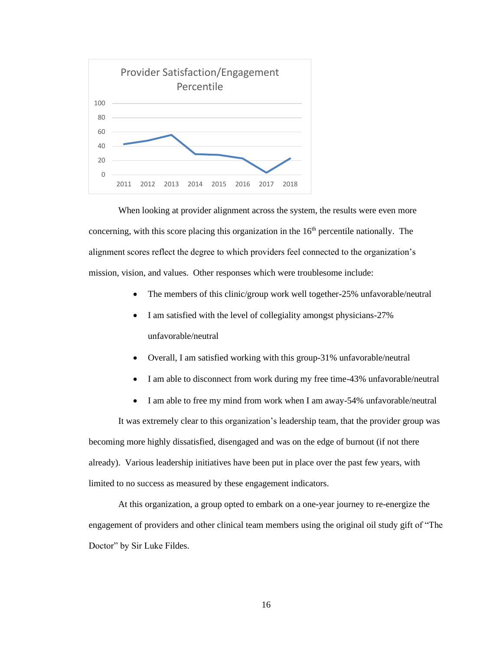

When looking at provider alignment across the system, the results were even more concerning, with this score placing this organization in the  $16<sup>th</sup>$  percentile nationally. The alignment scores reflect the degree to which providers feel connected to the organization's mission, vision, and values. Other responses which were troublesome include:

- The members of this clinic/group work well together-25% unfavorable/neutral
- I am satisfied with the level of collegiality amongst physicians-27% unfavorable/neutral
- Overall, I am satisfied working with this group-31% unfavorable/neutral
- I am able to disconnect from work during my free time-43% unfavorable/neutral
- I am able to free my mind from work when I am away-54% unfavorable/neutral

It was extremely clear to this organization's leadership team, that the provider group was becoming more highly dissatisfied, disengaged and was on the edge of burnout (if not there already). Various leadership initiatives have been put in place over the past few years, with limited to no success as measured by these engagement indicators.

At this organization, a group opted to embark on a one-year journey to re-energize the engagement of providers and other clinical team members using the original oil study gift of "The Doctor" by Sir Luke Fildes.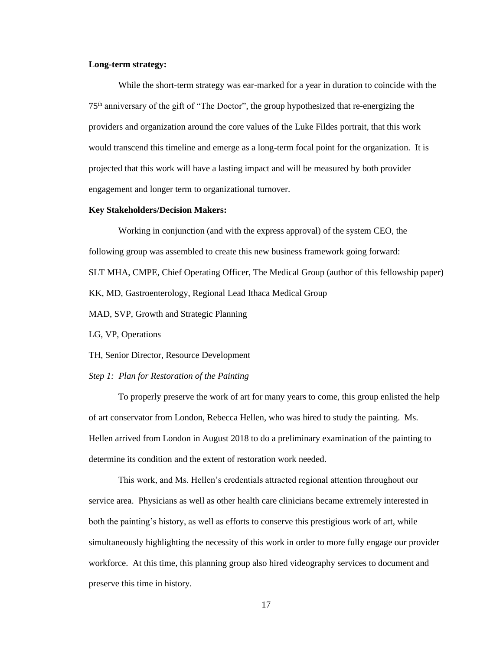#### **Long-term strategy:**

While the short-term strategy was ear-marked for a year in duration to coincide with the 75th anniversary of the gift of "The Doctor", the group hypothesized that re-energizing the providers and organization around the core values of the Luke Fildes portrait, that this work would transcend this timeline and emerge as a long-term focal point for the organization. It is projected that this work will have a lasting impact and will be measured by both provider engagement and longer term to organizational turnover.

#### **Key Stakeholders/Decision Makers:**

Working in conjunction (and with the express approval) of the system CEO, the following group was assembled to create this new business framework going forward: SLT MHA, CMPE, Chief Operating Officer, The Medical Group (author of this fellowship paper) KK, MD, Gastroenterology, Regional Lead Ithaca Medical Group MAD, SVP, Growth and Strategic Planning

LG, VP, Operations

TH, Senior Director, Resource Development

#### *Step 1: Plan for Restoration of the Painting*

To properly preserve the work of art for many years to come, this group enlisted the help of art conservator from London, Rebecca Hellen, who was hired to study the painting. Ms. Hellen arrived from London in August 2018 to do a preliminary examination of the painting to determine its condition and the extent of restoration work needed.

This work, and Ms. Hellen's credentials attracted regional attention throughout our service area. Physicians as well as other health care clinicians became extremely interested in both the painting's history, as well as efforts to conserve this prestigious work of art, while simultaneously highlighting the necessity of this work in order to more fully engage our provider workforce. At this time, this planning group also hired videography services to document and preserve this time in history.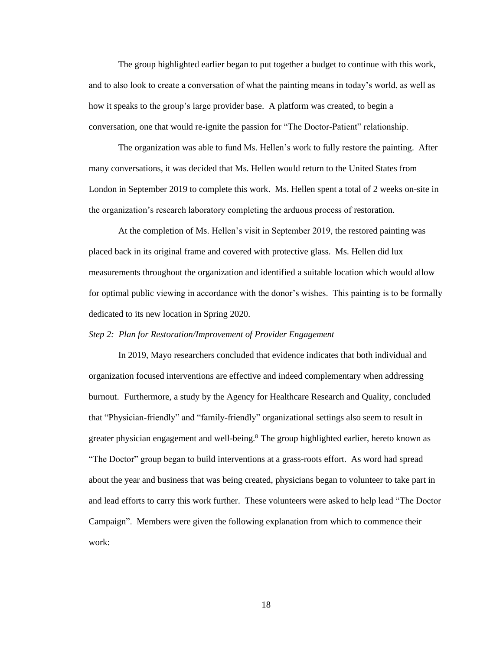The group highlighted earlier began to put together a budget to continue with this work, and to also look to create a conversation of what the painting means in today's world, as well as how it speaks to the group's large provider base. A platform was created, to begin a conversation, one that would re-ignite the passion for "The Doctor-Patient" relationship.

The organization was able to fund Ms. Hellen's work to fully restore the painting. After many conversations, it was decided that Ms. Hellen would return to the United States from London in September 2019 to complete this work. Ms. Hellen spent a total of 2 weeks on-site in the organization's research laboratory completing the arduous process of restoration.

At the completion of Ms. Hellen's visit in September 2019, the restored painting was placed back in its original frame and covered with protective glass. Ms. Hellen did lux measurements throughout the organization and identified a suitable location which would allow for optimal public viewing in accordance with the donor's wishes. This painting is to be formally dedicated to its new location in Spring 2020.

#### *Step 2: Plan for Restoration/Improvement of Provider Engagement*

In 2019, Mayo researchers concluded that evidence indicates that both individual and organization focused interventions are effective and indeed complementary when addressing burnout. Furthermore, a study by the Agency for Healthcare Research and Quality, concluded that "Physician-friendly" and "family-friendly" organizational settings also seem to result in greater physician engagement and well-being.<sup>8</sup> The group highlighted earlier, hereto known as "The Doctor" group began to build interventions at a grass-roots effort. As word had spread about the year and business that was being created, physicians began to volunteer to take part in and lead efforts to carry this work further. These volunteers were asked to help lead "The Doctor Campaign". Members were given the following explanation from which to commence their work: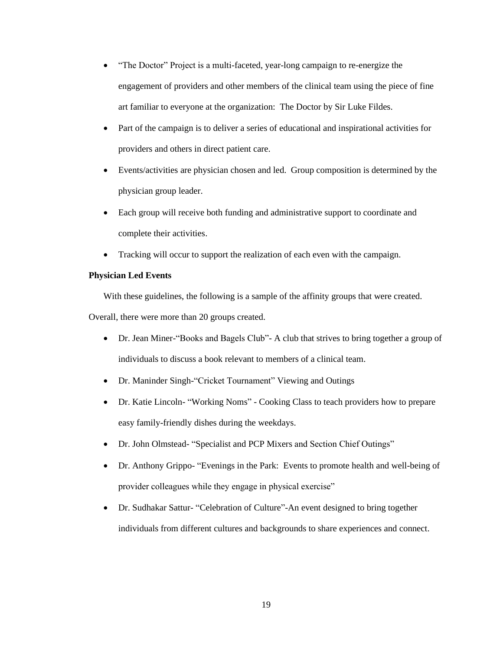- "The Doctor" Project is a multi-faceted, year-long campaign to re-energize the engagement of providers and other members of the clinical team using the piece of fine art familiar to everyone at the organization: The Doctor by Sir Luke Fildes.
- Part of the campaign is to deliver a series of educational and inspirational activities for providers and others in direct patient care.
- Events/activities are physician chosen and led. Group composition is determined by the physician group leader.
- Each group will receive both funding and administrative support to coordinate and complete their activities.
- Tracking will occur to support the realization of each even with the campaign.

#### **Physician Led Events**

With these guidelines, the following is a sample of the affinity groups that were created.

Overall, there were more than 20 groups created.

- Dr. Jean Miner-"Books and Bagels Club"- A club that strives to bring together a group of individuals to discuss a book relevant to members of a clinical team.
- Dr. Maninder Singh-"Cricket Tournament" Viewing and Outings
- Dr. Katie Lincoln- "Working Noms" Cooking Class to teach providers how to prepare easy family-friendly dishes during the weekdays.
- Dr. John Olmstead- "Specialist and PCP Mixers and Section Chief Outings"
- Dr. Anthony Grippo- "Evenings in the Park: Events to promote health and well-being of provider colleagues while they engage in physical exercise"
- Dr. Sudhakar Sattur- "Celebration of Culture"-An event designed to bring together individuals from different cultures and backgrounds to share experiences and connect.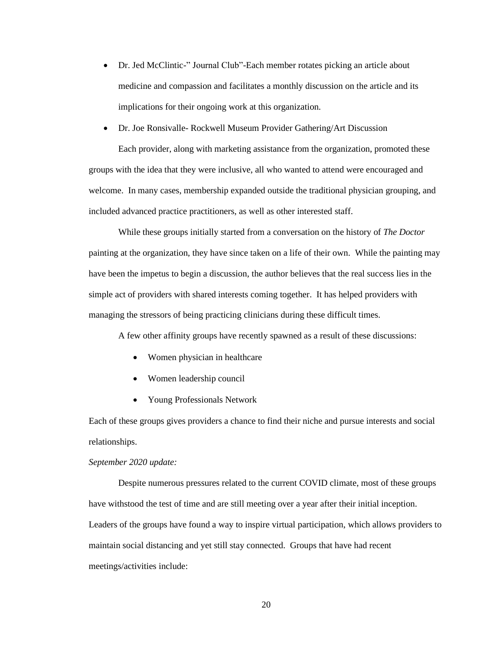• Dr. Jed McClintic-" Journal Club"-Each member rotates picking an article about medicine and compassion and facilitates a monthly discussion on the article and its implications for their ongoing work at this organization.

# • Dr. Joe Ronsivalle- Rockwell Museum Provider Gathering/Art Discussion Each provider, along with marketing assistance from the organization, promoted these

groups with the idea that they were inclusive, all who wanted to attend were encouraged and welcome. In many cases, membership expanded outside the traditional physician grouping, and included advanced practice practitioners, as well as other interested staff.

While these groups initially started from a conversation on the history of *The Doctor*  painting at the organization, they have since taken on a life of their own. While the painting may have been the impetus to begin a discussion, the author believes that the real success lies in the simple act of providers with shared interests coming together. It has helped providers with managing the stressors of being practicing clinicians during these difficult times.

A few other affinity groups have recently spawned as a result of these discussions:

- Women physician in healthcare
- Women leadership council
- Young Professionals Network

Each of these groups gives providers a chance to find their niche and pursue interests and social relationships.

#### *September 2020 update:*

Despite numerous pressures related to the current COVID climate, most of these groups have withstood the test of time and are still meeting over a year after their initial inception. Leaders of the groups have found a way to inspire virtual participation, which allows providers to maintain social distancing and yet still stay connected. Groups that have had recent meetings/activities include: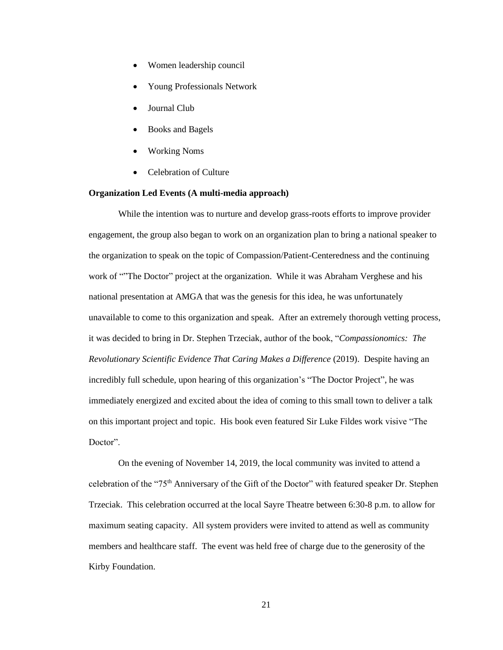- Women leadership council
- Young Professionals Network
- Journal Club
- Books and Bagels
- Working Noms
- Celebration of Culture

#### **Organization Led Events (A multi-media approach)**

While the intention was to nurture and develop grass-roots efforts to improve provider engagement, the group also began to work on an organization plan to bring a national speaker to the organization to speak on the topic of Compassion/Patient-Centeredness and the continuing work of ""The Doctor" project at the organization. While it was Abraham Verghese and his national presentation at AMGA that was the genesis for this idea, he was unfortunately unavailable to come to this organization and speak. After an extremely thorough vetting process, it was decided to bring in Dr. Stephen Trzeciak, author of the book, "*Compassionomics: The Revolutionary Scientific Evidence That Caring Makes a Difference* (2019). Despite having an incredibly full schedule, upon hearing of this organization's "The Doctor Project", he was immediately energized and excited about the idea of coming to this small town to deliver a talk on this important project and topic. His book even featured Sir Luke Fildes work visive "The Doctor".

On the evening of November 14, 2019, the local community was invited to attend a celebration of the "75th Anniversary of the Gift of the Doctor" with featured speaker Dr. Stephen Trzeciak. This celebration occurred at the local Sayre Theatre between 6:30-8 p.m. to allow for maximum seating capacity. All system providers were invited to attend as well as community members and healthcare staff. The event was held free of charge due to the generosity of the Kirby Foundation.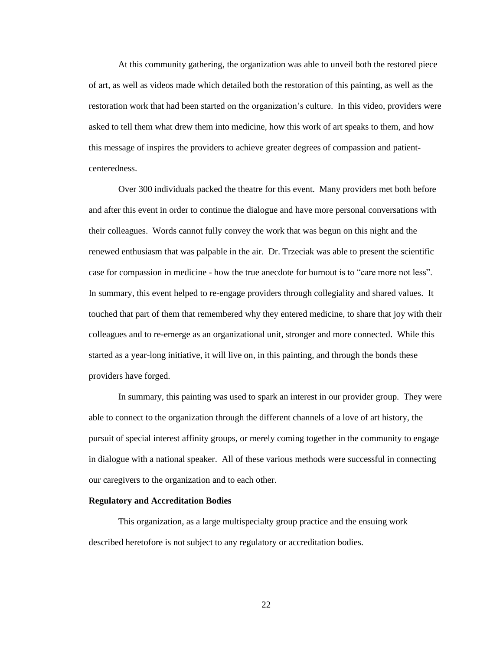At this community gathering, the organization was able to unveil both the restored piece of art, as well as videos made which detailed both the restoration of this painting, as well as the restoration work that had been started on the organization's culture. In this video, providers were asked to tell them what drew them into medicine, how this work of art speaks to them, and how this message of inspires the providers to achieve greater degrees of compassion and patientcenteredness.

Over 300 individuals packed the theatre for this event. Many providers met both before and after this event in order to continue the dialogue and have more personal conversations with their colleagues. Words cannot fully convey the work that was begun on this night and the renewed enthusiasm that was palpable in the air. Dr. Trzeciak was able to present the scientific case for compassion in medicine - how the true anecdote for burnout is to "care more not less". In summary, this event helped to re-engage providers through collegiality and shared values. It touched that part of them that remembered why they entered medicine, to share that joy with their colleagues and to re-emerge as an organizational unit, stronger and more connected. While this started as a year-long initiative, it will live on, in this painting, and through the bonds these providers have forged.

In summary, this painting was used to spark an interest in our provider group. They were able to connect to the organization through the different channels of a love of art history, the pursuit of special interest affinity groups, or merely coming together in the community to engage in dialogue with a national speaker. All of these various methods were successful in connecting our caregivers to the organization and to each other.

#### **Regulatory and Accreditation Bodies**

This organization, as a large multispecialty group practice and the ensuing work described heretofore is not subject to any regulatory or accreditation bodies.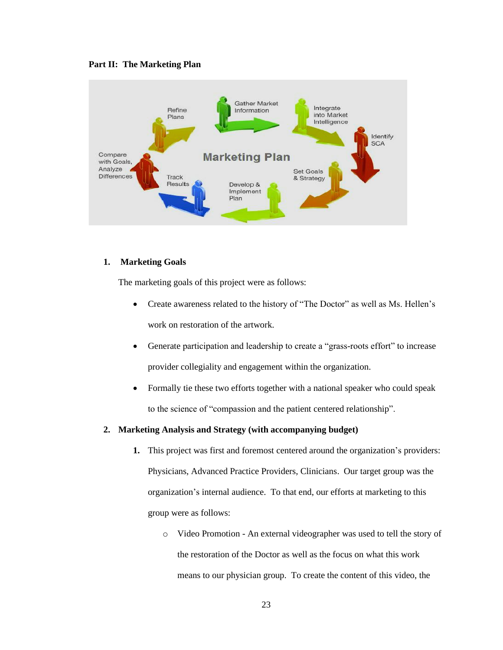



#### **1. Marketing Goals**

The marketing goals of this project were as follows:

- Create awareness related to the history of "The Doctor" as well as Ms. Hellen's work on restoration of the artwork.
- Generate participation and leadership to create a "grass-roots effort" to increase provider collegiality and engagement within the organization.
- Formally tie these two efforts together with a national speaker who could speak to the science of "compassion and the patient centered relationship".

#### **2. Marketing Analysis and Strategy (with accompanying budget)**

- **1.** This project was first and foremost centered around the organization's providers: Physicians, Advanced Practice Providers, Clinicians. Our target group was the organization's internal audience. To that end, our efforts at marketing to this group were as follows:
	- o Video Promotion An external videographer was used to tell the story of the restoration of the Doctor as well as the focus on what this work means to our physician group. To create the content of this video, the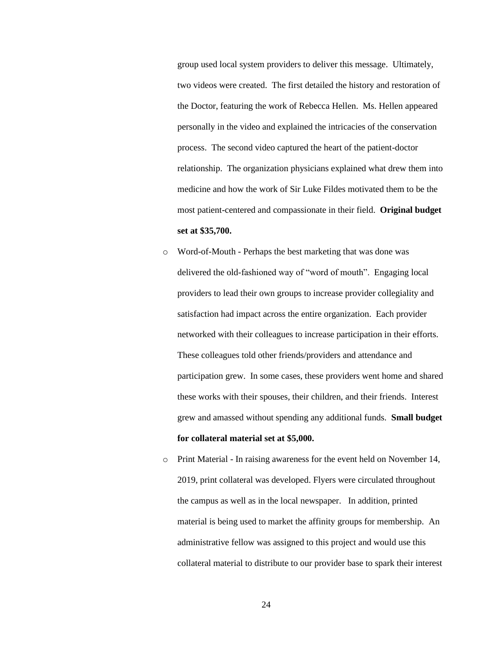group used local system providers to deliver this message. Ultimately, two videos were created. The first detailed the history and restoration of the Doctor, featuring the work of Rebecca Hellen. Ms. Hellen appeared personally in the video and explained the intricacies of the conservation process. The second video captured the heart of the patient-doctor relationship. The organization physicians explained what drew them into medicine and how the work of Sir Luke Fildes motivated them to be the most patient-centered and compassionate in their field. **Original budget set at \$35,700.**

- o Word-of-Mouth Perhaps the best marketing that was done was delivered the old-fashioned way of "word of mouth". Engaging local providers to lead their own groups to increase provider collegiality and satisfaction had impact across the entire organization. Each provider networked with their colleagues to increase participation in their efforts. These colleagues told other friends/providers and attendance and participation grew. In some cases, these providers went home and shared these works with their spouses, their children, and their friends. Interest grew and amassed without spending any additional funds. **Small budget for collateral material set at \$5,000.**
- o Print Material In raising awareness for the event held on November 14, 2019, print collateral was developed. Flyers were circulated throughout the campus as well as in the local newspaper. In addition, printed material is being used to market the affinity groups for membership. An administrative fellow was assigned to this project and would use this collateral material to distribute to our provider base to spark their interest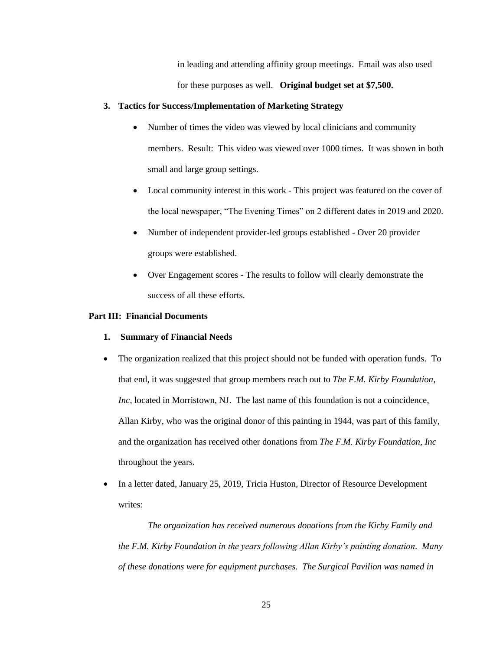in leading and attending affinity group meetings. Email was also used for these purposes as well. **Original budget set at \$7,500.**

#### **3. Tactics for Success/Implementation of Marketing Strategy**

- Number of times the video was viewed by local clinicians and community members. Result: This video was viewed over 1000 times. It was shown in both small and large group settings.
- Local community interest in this work This project was featured on the cover of the local newspaper, "The Evening Times" on 2 different dates in 2019 and 2020.
- Number of independent provider-led groups established Over 20 provider groups were established.
- Over Engagement scores The results to follow will clearly demonstrate the success of all these efforts.

#### **Part III: Financial Documents**

- **1. Summary of Financial Needs**
- The organization realized that this project should not be funded with operation funds. To that end, it was suggested that group members reach out to *The F.M. Kirby Foundation, Inc*, located in Morristown, NJ. The last name of this foundation is not a coincidence, Allan Kirby, who was the original donor of this painting in 1944, was part of this family, and the organization has received other donations from *The F.M. Kirby Foundation, Inc* throughout the years.
- In a letter dated, January 25, 2019, Tricia Huston, Director of Resource Development writes:

*The organization has received numerous donations from the Kirby Family and the F.M. Kirby Foundation in the years following Allan Kirby's painting donation. Many of these donations were for equipment purchases. The Surgical Pavilion was named in*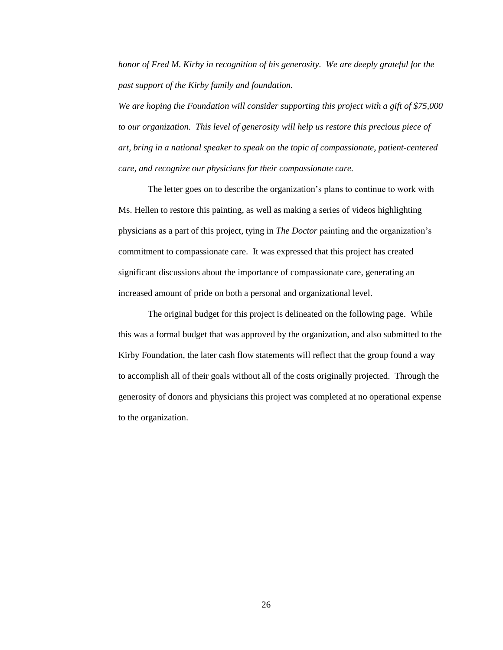*honor of Fred M. Kirby in recognition of his generosity. We are deeply grateful for the past support of the Kirby family and foundation.*

*We are hoping the Foundation will consider supporting this project with a gift of \$75,000 to our organization. This level of generosity will help us restore this precious piece of art, bring in a national speaker to speak on the topic of compassionate, patient-centered care, and recognize our physicians for their compassionate care.*

The letter goes on to describe the organization's plans to continue to work with Ms. Hellen to restore this painting, as well as making a series of videos highlighting physicians as a part of this project, tying in *The Doctor* painting and the organization's commitment to compassionate care. It was expressed that this project has created significant discussions about the importance of compassionate care, generating an increased amount of pride on both a personal and organizational level.

The original budget for this project is delineated on the following page. While this was a formal budget that was approved by the organization, and also submitted to the Kirby Foundation, the later cash flow statements will reflect that the group found a way to accomplish all of their goals without all of the costs originally projected. Through the generosity of donors and physicians this project was completed at no operational expense to the organization.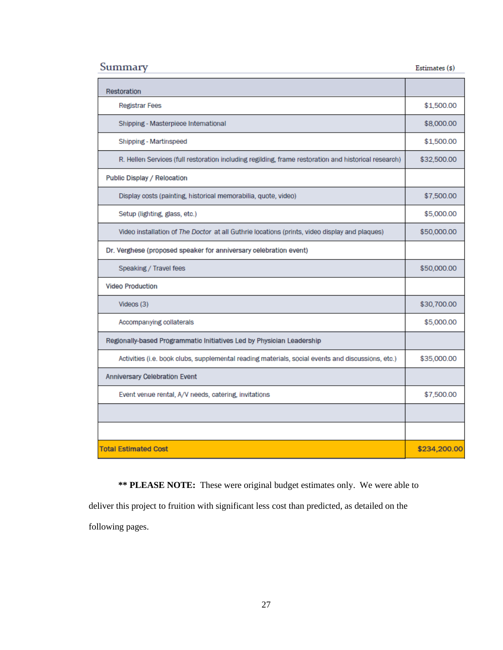| Summary                                                                                              | Estimates (\$) |
|------------------------------------------------------------------------------------------------------|----------------|
| Restoration                                                                                          |                |
| <b>Registrar Fees</b>                                                                                | \$1,500.00     |
| Shipping - Masterpiece International                                                                 | \$8,000.00     |
| Shipping - Martinspeed                                                                               | \$1,500.00     |
| R. Hellen Services (full restoration including regilding, frame restoration and historical research) | \$32,500.00    |
| Public Display / Relocation                                                                          |                |
| Display costs (painting, historical memorabilia, quote, video)                                       | \$7,500.00     |
| Setup (lighting, glass, etc.)                                                                        | \$5,000.00     |
| Video installation of The Doctor at all Guthrie locations (prints, video display and plaques)        | \$50,000.00    |
| Dr. Verghese (proposed speaker for anniversary celebration event)                                    |                |
| Speaking / Travel fees                                                                               | \$50,000.00    |
| <b>Video Production</b>                                                                              |                |
| Videos (3)                                                                                           | \$30,700.00    |
| Accompanying collaterals                                                                             | \$5,000.00     |
| Regionally-based Programmatic Initiatives Led by Physician Leadership                                |                |
| Activities (i.e. book clubs, supplemental reading materials, social events and discussions, etc.)    | \$35,000.00    |
| <b>Anniversary Celebration Event</b>                                                                 |                |
| Event venue rental, A/V needs, catering, invitations                                                 | \$7,500.00     |
|                                                                                                      |                |
|                                                                                                      |                |
| <b>Total Estimated Cost</b>                                                                          | \$234,200.00   |

**\*\* PLEASE NOTE:** These were original budget estimates only. We were able to

deliver this project to fruition with significant less cost than predicted, as detailed on the

following pages.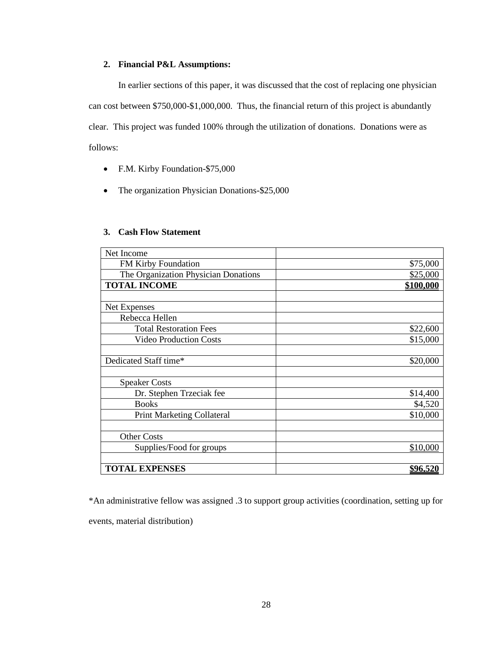#### **2. Financial P&L Assumptions:**

In earlier sections of this paper, it was discussed that the cost of replacing one physician can cost between \$750,000-\$1,000,000. Thus, the financial return of this project is abundantly clear. This project was funded 100% through the utilization of donations. Donations were as follows:

- F.M. Kirby Foundation-\$75,000
- The organization Physician Donations-\$25,000

#### **3. Cash Flow Statement**

| Net Income                           |           |
|--------------------------------------|-----------|
| FM Kirby Foundation                  | \$75,000  |
| The Organization Physician Donations | \$25,000  |
| <b>TOTAL INCOME</b>                  | \$100,000 |
|                                      |           |
| Net Expenses                         |           |
| Rebecca Hellen                       |           |
| <b>Total Restoration Fees</b>        | \$22,600  |
| <b>Video Production Costs</b>        | \$15,000  |
|                                      |           |
| Dedicated Staff time*                | \$20,000  |
|                                      |           |
| <b>Speaker Costs</b>                 |           |
| Dr. Stephen Trzeciak fee             | \$14,400  |
| <b>Books</b>                         | \$4,520   |
| <b>Print Marketing Collateral</b>    | \$10,000  |
|                                      |           |
| <b>Other Costs</b>                   |           |
| Supplies/Food for groups             | \$10,000  |
|                                      |           |
| <b>TOTAL EXPENSES</b>                | \$96,520  |

\*An administrative fellow was assigned .3 to support group activities (coordination, setting up for events, material distribution)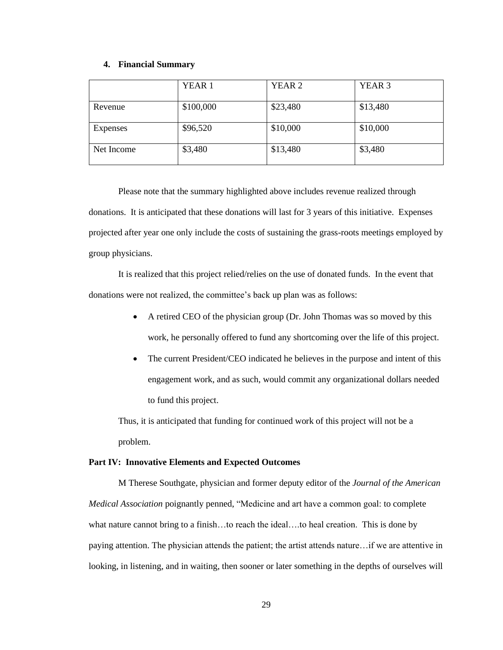#### **4. Financial Summary**

|            | YEAR <sub>1</sub> | YEAR <sub>2</sub> | YEAR <sub>3</sub> |
|------------|-------------------|-------------------|-------------------|
| Revenue    | \$100,000         | \$23,480          | \$13,480          |
| Expenses   | \$96,520          | \$10,000          | \$10,000          |
| Net Income | \$3,480           | \$13,480          | \$3,480           |

Please note that the summary highlighted above includes revenue realized through donations. It is anticipated that these donations will last for 3 years of this initiative. Expenses projected after year one only include the costs of sustaining the grass-roots meetings employed by group physicians.

It is realized that this project relied/relies on the use of donated funds. In the event that donations were not realized, the committee's back up plan was as follows:

- A retired CEO of the physician group (Dr. John Thomas was so moved by this work, he personally offered to fund any shortcoming over the life of this project.
- The current President/CEO indicated he believes in the purpose and intent of this engagement work, and as such, would commit any organizational dollars needed to fund this project.

Thus, it is anticipated that funding for continued work of this project will not be a problem.

#### **Part IV: Innovative Elements and Expected Outcomes**

M Therese Southgate, physician and former deputy editor of the *Journal of the American Medical Association* poignantly penned, "Medicine and art have a common goal: to complete what nature cannot bring to a finish...to reach the ideal....to heal creation. This is done by paying attention. The physician attends the patient; the artist attends nature…if we are attentive in looking, in listening, and in waiting, then sooner or later something in the depths of ourselves will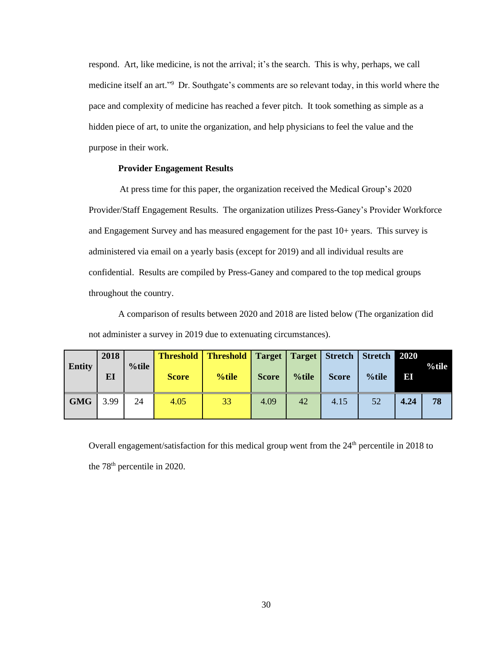respond. Art, like medicine, is not the arrival; it's the search. This is why, perhaps, we call medicine itself an art."<sup>9</sup> Dr. Southgate's comments are so relevant today, in this world where the pace and complexity of medicine has reached a fever pitch. It took something as simple as a hidden piece of art, to unite the organization, and help physicians to feel the value and the purpose in their work.

#### **Provider Engagement Results**

At press time for this paper, the organization received the Medical Group's 2020 Provider/Staff Engagement Results. The organization utilizes Press-Ganey's Provider Workforce and Engagement Survey and has measured engagement for the past 10+ years. This survey is administered via email on a yearly basis (except for 2019) and all individual results are confidential. Results are compiled by Press-Ganey and compared to the top medical groups throughout the country.

A comparison of results between 2020 and 2018 are listed below (The organization did not administer a survey in 2019 due to extenuating circumstances).

| <b>Entity</b> | 2018<br>EI | $%$ tile | <b>Threshold</b><br><b>Score</b> | <b>Threshold</b>   Target   Target   Stretch   Stretch  <br>%tile | <b>Score</b> | %tile | <b>Score</b> | %tile | 2020<br> E | $%$ tile |
|---------------|------------|----------|----------------------------------|-------------------------------------------------------------------|--------------|-------|--------------|-------|------------|----------|
| <b>GMG</b>    | 3.99       | 24       | 4.05                             | 33                                                                | 4.09         | 42    | 4.15         | 52    | 4.24       | 78       |

Overall engagement/satisfaction for this medical group went from the 24<sup>th</sup> percentile in 2018 to the 78<sup>th</sup> percentile in 2020.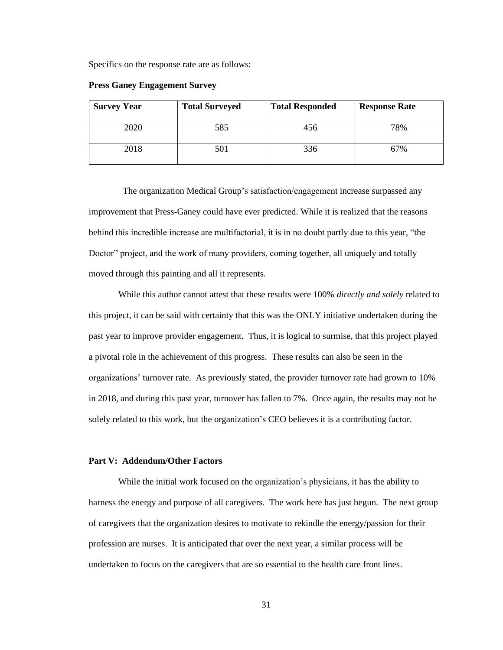Specifics on the response rate are as follows:

| <b>Survey Year</b> | <b>Total Surveyed</b> | <b>Total Responded</b> | <b>Response Rate</b> |
|--------------------|-----------------------|------------------------|----------------------|
| 2020               | 585                   | 456                    | 78%                  |
| 2018               | 501                   | 336                    | 67%                  |

**Press Ganey Engagement Survey**

 The organization Medical Group's satisfaction/engagement increase surpassed any improvement that Press-Ganey could have ever predicted. While it is realized that the reasons behind this incredible increase are multifactorial, it is in no doubt partly due to this year, "the Doctor" project, and the work of many providers, coming together, all uniquely and totally moved through this painting and all it represents.

While this author cannot attest that these results were 100% *directly and solely* related to this project, it can be said with certainty that this was the ONLY initiative undertaken during the past year to improve provider engagement. Thus, it is logical to surmise, that this project played a pivotal role in the achievement of this progress. These results can also be seen in the organizations' turnover rate. As previously stated, the provider turnover rate had grown to 10% in 2018, and during this past year, turnover has fallen to 7%. Once again, the results may not be solely related to this work, but the organization's CEO believes it is a contributing factor.

#### **Part V: Addendum/Other Factors**

While the initial work focused on the organization's physicians, it has the ability to harness the energy and purpose of all caregivers. The work here has just begun. The next group of caregivers that the organization desires to motivate to rekindle the energy/passion for their profession are nurses. It is anticipated that over the next year, a similar process will be undertaken to focus on the caregivers that are so essential to the health care front lines.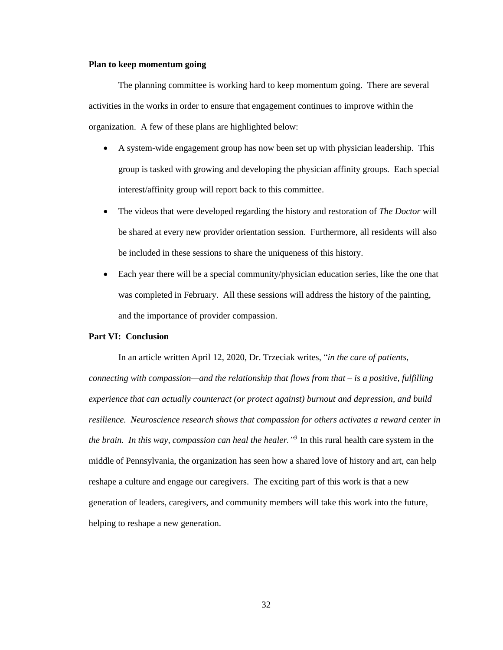#### **Plan to keep momentum going**

The planning committee is working hard to keep momentum going. There are several activities in the works in order to ensure that engagement continues to improve within the organization. A few of these plans are highlighted below:

- A system-wide engagement group has now been set up with physician leadership. This group is tasked with growing and developing the physician affinity groups. Each special interest/affinity group will report back to this committee.
- The videos that were developed regarding the history and restoration of *The Doctor* will be shared at every new provider orientation session. Furthermore, all residents will also be included in these sessions to share the uniqueness of this history.
- Each year there will be a special community/physician education series, like the one that was completed in February. All these sessions will address the history of the painting, and the importance of provider compassion.

#### **Part VI: Conclusion**

In an article written April 12, 2020, Dr. Trzeciak writes, "*in the care of patients, connecting with compassion—and the relationship that flows from that – is a positive, fulfilling experience that can actually counteract (or protect against) burnout and depression, and build resilience. Neuroscience research shows that compassion for others activates a reward center in the brain. In this way, compassion can heal the healer."<sup>9</sup>*In this rural health care system in the middle of Pennsylvania, the organization has seen how a shared love of history and art, can help reshape a culture and engage our caregivers. The exciting part of this work is that a new generation of leaders, caregivers, and community members will take this work into the future, helping to reshape a new generation.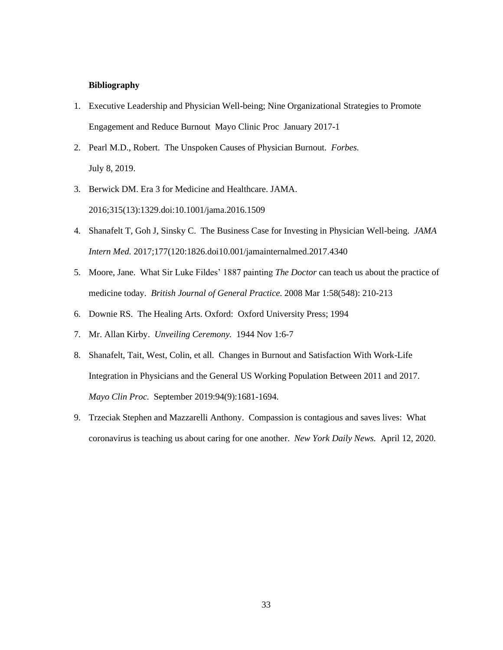#### **Bibliography**

- 1. Executive Leadership and Physician Well-being; Nine Organizational Strategies to Promote Engagement and Reduce Burnout Mayo Clinic Proc January 2017-1
- 2. Pearl M.D., Robert. The Unspoken Causes of Physician Burnout. *Forbes.* July 8, 2019.
- 3. Berwick DM. Era 3 for Medicine and Healthcare. JAMA. 2016;315(13):1329.doi:10.1001/jama.2016.1509
- 4. Shanafelt T, Goh J, Sinsky C. The Business Case for Investing in Physician Well-being. *JAMA Intern Med.* 2017;177(120:1826.doi10.001/jamainternalmed.2017.4340
- 5. Moore, Jane. What Sir Luke Fildes' 1887 painting *The Doctor* can teach us about the practice of medicine today. *British Journal of General Practice.* 2008 Mar 1:58(548): 210-213
- 6. Downie RS. The Healing Arts. Oxford: Oxford University Press; 1994
- 7. Mr. Allan Kirby. *Unveiling Ceremony.* 1944 Nov 1:6-7
- 8. Shanafelt, Tait, West, Colin, et all. Changes in Burnout and Satisfaction With Work-Life Integration in Physicians and the General US Working Population Between 2011 and 2017. *Mayo Clin Proc.* September 2019:94(9):1681-1694.
- 9. Trzeciak Stephen and Mazzarelli Anthony. Compassion is contagious and saves lives: What coronavirus is teaching us about caring for one another. *New York Daily News.* April 12, 2020.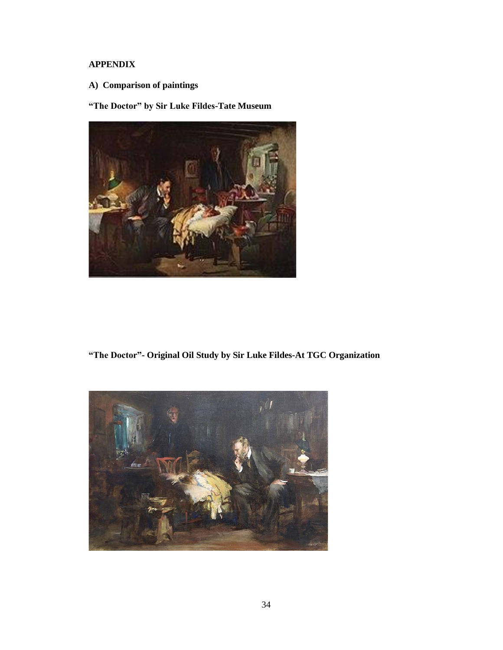# **APPENDIX**

**A) Comparison of paintings**

**"The Doctor" by Sir Luke Fildes-Tate Museum**



**"The Doctor"- Original Oil Study by Sir Luke Fildes-At TGC Organization**